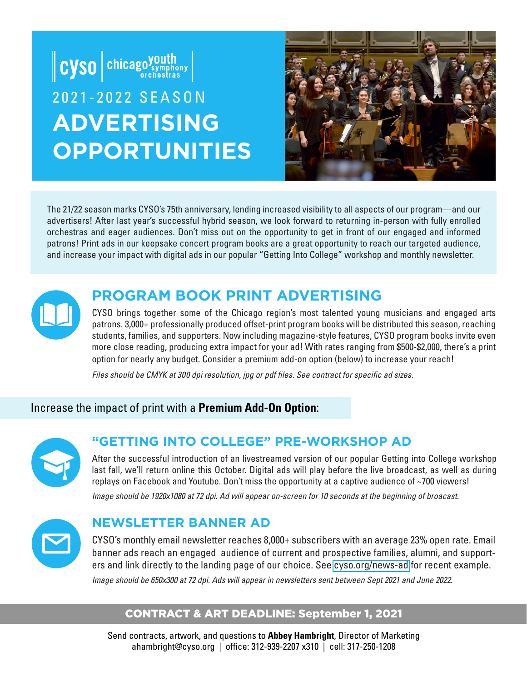

The 21/22 season marks CYSO's 75th anniversary, lending increased visibility to all aspects of our program—and our advertisers! After last year's successful hybrid season, we look forward to returning in-person with fully enrolled orchestras and eager audiences. Don't miss out on the opportunity to get in front of our engaged and informed patrons! Print ads in our keepsake concert program books are a great opportunity to reach our targeted audience, and increase your impact with digital ads in our popular "Getting Into College" workshop and monthly newsletter.



## **PROGRAM BOOK PRINT ADVERTISING**

CYSO brings together some of the Chicago region's most talented young musicians and engaged arts patrons. 3,000+ professionally produced offset-print program books will be distributed this season, reaching students, families, and supporters. Now including magazine-style features, CYSO program books invite even more close reading, producing extra impact for your ad! With rates ranging from \$500-\$2,000, there's a print option for nearly any budget. Consider a premium add-on option (below) to increase your reach!

*Files should be CMYK at 300 dpi resolution, jpg or pdf files. See contract for specific ad sizes.*

#### Increase the impact of print with a **Premium Add-On Option**:



#### **"GETTING INTO COLLEGE" PRE-WORKSHOP AD**

After the successful introduction of an livestreamed version of our popular Getting into College workshop last fall, we'll return online this October. Digital ads will play before the live broadcast, as well as during replays on Facebook and Youtube. Don't miss the opportunity at a captive audience of ~700 viewers!

*Image should be 1920x1080 at 72 dpi. Ad will appear on-screen for 10 seconds at the beginning of broacast.*



#### **NEWSLETTER BANNER AD**

CYSO's monthly email newsletter reaches 8,000+ subscribers with an average 23% open rate. Email banner ads reach an engaged audience of current and prospective families, alumni, and supporters and link directly to the landing page of our choice. See [cyso.org/news-ad](https://mailchi.mp/cyso/cyso-news-orchestra-hall-community-concert-intern-app-deadline-and-more-2636218) for recent example. *Image should be 650x300 at 72 dpi. Ads will appear in newsletters sent between Sept 2021 and June 2022.* 

#### CONTRACT & ART DEADLINE: September 1, 2021

Send contracts, artwork, and questions to **Abbey Hambright**, Director of Marketing ahambright@cyso.org | office: 312-939-2207 x310 | cell: 317-250-1208